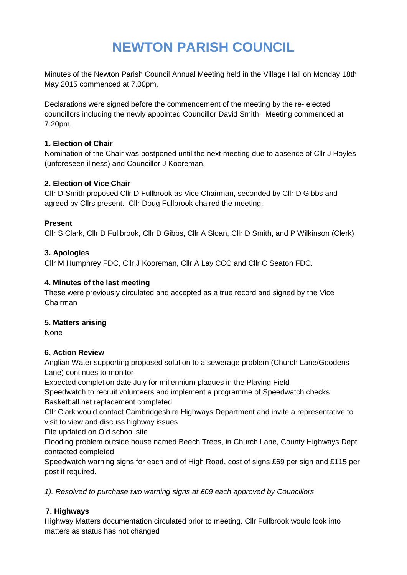# **NEWTON PARISH COUNCIL**

Minutes of the Newton Parish Council Annual Meeting held in the Village Hall on Monday 18th May 2015 commenced at 7.00pm.

Declarations were signed before the commencement of the meeting by the re- elected councillors including the newly appointed Councillor David Smith. Meeting commenced at 7.20pm.

### **1. Election of Chair**

Nomination of the Chair was postponed until the next meeting due to absence of Cllr J Hoyles (unforeseen illness) and Councillor J Kooreman.

### **2. Election of Vice Chair**

Cllr D Smith proposed Cllr D Fullbrook as Vice Chairman, seconded by Cllr D Gibbs and agreed by Cllrs present. Cllr Doug Fullbrook chaired the meeting.

#### **Present**

Cllr S Clark, Cllr D Fullbrook, Cllr D Gibbs, Cllr A Sloan, Cllr D Smith, and P Wilkinson (Clerk)

#### **3. Apologies**

Cllr M Humphrey FDC, Cllr J Kooreman, Cllr A Lay CCC and Cllr C Seaton FDC.

#### **4. Minutes of the last meeting**

These were previously circulated and accepted as a true record and signed by the Vice Chairman

#### **5. Matters arising**

None

### **6. Action Review**

Anglian Water supporting proposed solution to a sewerage problem (Church Lane/Goodens Lane) continues to monitor

Expected completion date July for millennium plaques in the Playing Field

Speedwatch to recruit volunteers and implement a programme of Speedwatch checks Basketball net replacement completed

Cllr Clark would contact Cambridgeshire Highways Department and invite a representative to visit to view and discuss highway issues

File updated on Old school site

Flooding problem outside house named Beech Trees, in Church Lane, County Highways Dept contacted completed

Speedwatch warning signs for each end of High Road, cost of signs £69 per sign and £115 per post if required.

*1). Resolved to purchase two warning signs at £69 each approved by Councillors*

### **7. Highways**

Highway Matters documentation circulated prior to meeting. Cllr Fullbrook would look into matters as status has not changed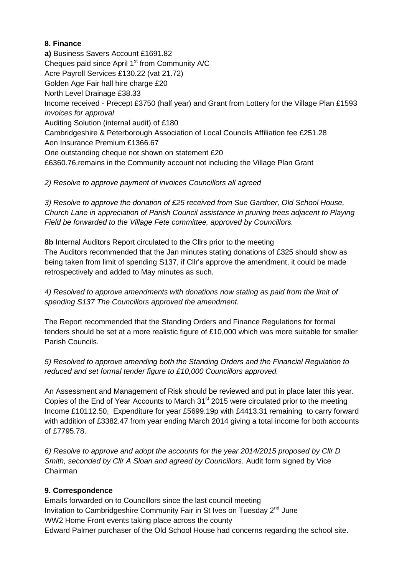### **8. Finance**

**a)** Business Savers Account £1691.82 Cheques paid since April 1<sup>st</sup> from Community A/C Acre Payroll Services £130.22 (vat 21.72) Golden Age Fair hall hire charge £20 North Level Drainage £38.33 Income received - Precept £3750 (half year) and Grant from Lottery for the Village Plan £1593 *Invoices for approval*  Auditing Solution (internal audit) of £180 Cambridgeshire & Peterborough Association of Local Councils Affiliation fee £251.28 Aon Insurance Premium £1366.67 One outstanding cheque not shown on statement £20 £6360.76.remains in the Community account not including the Village Plan Grant

*2) Resolve to approve payment of invoices Councillors all agreed*

*3) Resolve to approve the donation of £25 received from Sue Gardner, Old School House, Church Lane in appreciation of Parish Council assistance in pruning trees adjacent to Playing Field be forwarded to the Village Fete committee, approved by Councillors.*

**8b** Internal Auditors Report circulated to the Cllrs prior to the meeting The Auditors recommended that the Jan minutes stating donations of £325 should show as being taken from limit of spending S137, if Cllr's approve the amendment, it could be made retrospectively and added to May minutes as such.

*4) Resolved to approve amendments with donations now stating as paid from the limit of spending S137 The Councillors approved the amendment.*

The Report recommended that the Standing Orders and Finance Regulations for formal tenders should be set at a more realistic figure of £10,000 which was more suitable for smaller Parish Councils.

*5) Resolved to approve amending both the Standing Orders and the Financial Regulation to reduced and set formal tender figure to £10,000 Councillors approved.*

An Assessment and Management of Risk should be reviewed and put in place later this year. Copies of the End of Year Accounts to March  $31<sup>st</sup>$  2015 were circulated prior to the meeting Income £10112.50, Expenditure for year £5699.19p with £4413.31 remaining to carry forward with addition of £3382.47 from year ending March 2014 giving a total income for both accounts of £7795.78.

*6) Resolve to approve and adopt the accounts for the year 2014/2015 proposed by Cllr D Smith, seconded by Cllr A Sloan and agreed by Councillors.* Audit form signed by Vice Chairman

### **9. Correspondence**

Emails forwarded on to Councillors since the last council meeting Invitation to Cambridgeshire Community Fair in St Ives on Tuesday  $2^{nd}$  June WW2 Home Front events taking place across the county Edward Palmer purchaser of the Old School House had concerns regarding the school site.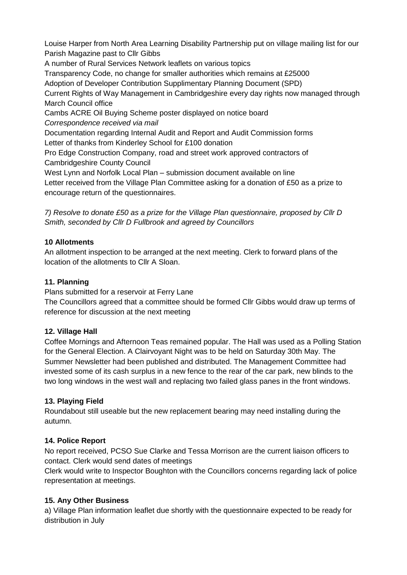Louise Harper from North Area Learning Disability Partnership put on village mailing list for our Parish Magazine past to Cllr Gibbs

A number of Rural Services Network leaflets on various topics

Transparency Code, no change for smaller authorities which remains at £25000

Adoption of Developer Contribution Supplimentary Planning Document (SPD)

Current Rights of Way Management in Cambridgeshire every day rights now managed through March Council office

Cambs ACRE Oil Buying Scheme poster displayed on notice board

*Correspondence received via mail*

Documentation regarding Internal Audit and Report and Audit Commission forms Letter of thanks from Kinderley School for £100 donation

Pro Edge Construction Company, road and street work approved contractors of Cambridgeshire County Council

West Lynn and Norfolk Local Plan – submission document available on line

Letter received from the Village Plan Committee asking for a donation of £50 as a prize to encourage return of the questionnaires.

*7) Resolve to donate £50 as a prize for the Village Plan questionnaire, proposed by Cllr D Smith, seconded by Cllr D Fullbrook and agreed by Councillors*

## **10 Allotments**

An allotment inspection to be arranged at the next meeting. Clerk to forward plans of the location of the allotments to Cllr A Sloan.

## **11. Planning**

Plans submitted for a reservoir at Ferry Lane

The Councillors agreed that a committee should be formed Cllr Gibbs would draw up terms of reference for discussion at the next meeting

## **12. Village Hall**

Coffee Mornings and Afternoon Teas remained popular. The Hall was used as a Polling Station for the General Election. A Clairvoyant Night was to be held on Saturday 30th May. The Summer Newsletter had been published and distributed. The Management Committee had invested some of its cash surplus in a new fence to the rear of the car park, new blinds to the two long windows in the west wall and replacing two failed glass panes in the front windows.

## **13. Playing Field**

Roundabout still useable but the new replacement bearing may need installing during the autumn.

## **14. Police Report**

No report received, PCSO Sue Clarke and Tessa Morrison are the current liaison officers to contact. Clerk would send dates of meetings

Clerk would write to Inspector Boughton with the Councillors concerns regarding lack of police representation at meetings.

## **15. Any Other Business**

a) Village Plan information leaflet due shortly with the questionnaire expected to be ready for distribution in July